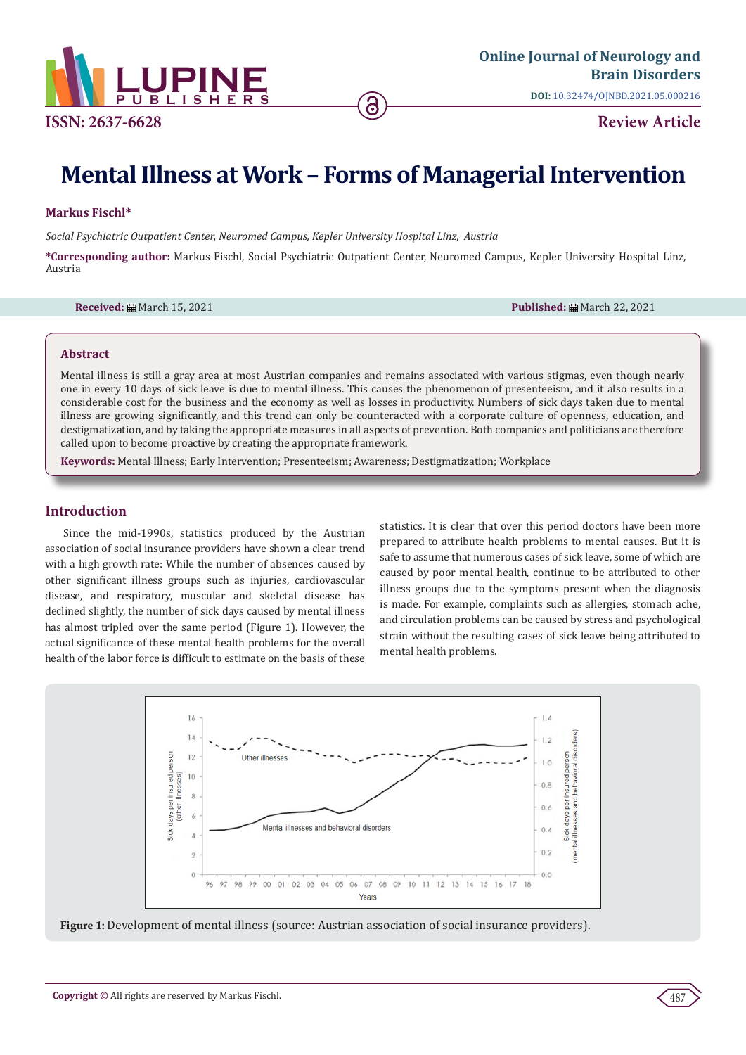

# **Mental Illness at Work – Forms of Managerial Intervention**

### **Markus Fischl\***

*Social Psychiatric Outpatient Center, Neuromed Campus, Kepler University Hospital Linz, Austria*

**\*Corresponding author:** Markus Fischl, Social Psychiatric Outpatient Center, Neuromed Campus, Kepler University Hospital Linz, Austria

**Received:** March 15, 2021 **Published:** March 22, 2021

#### **Abstract**

Mental illness is still a gray area at most Austrian companies and remains associated with various stigmas, even though nearly one in every 10 days of sick leave is due to mental illness. This causes the phenomenon of presenteeism, and it also results in a considerable cost for the business and the economy as well as losses in productivity. Numbers of sick days taken due to mental illness are growing significantly, and this trend can only be counteracted with a corporate culture of openness, education, and destigmatization, and by taking the appropriate measures in all aspects of prevention. Both companies and politicians are therefore called upon to become proactive by creating the appropriate framework.

**Keywords:** Mental Illness; Early Intervention; Presenteeism; Awareness; Destigmatization; Workplace

#### **Introduction**

Since the mid-1990s, statistics produced by the Austrian association of social insurance providers have shown a clear trend with a high growth rate: While the number of absences caused by other significant illness groups such as injuries, cardiovascular disease, and respiratory, muscular and skeletal disease has declined slightly, the number of sick days caused by mental illness has almost tripled over the same period (Figure 1). However, the actual significance of these mental health problems for the overall health of the labor force is difficult to estimate on the basis of these

statistics. It is clear that over this period doctors have been more prepared to attribute health problems to mental causes. But it is safe to assume that numerous cases of sick leave, some of which are caused by poor mental health, continue to be attributed to other illness groups due to the symptoms present when the diagnosis is made. For example, complaints such as allergies, stomach ache, and circulation problems can be caused by stress and psychological strain without the resulting cases of sick leave being attributed to mental health problems.



**Figure 1:** Development of mental illness (source: Austrian association of social insurance providers).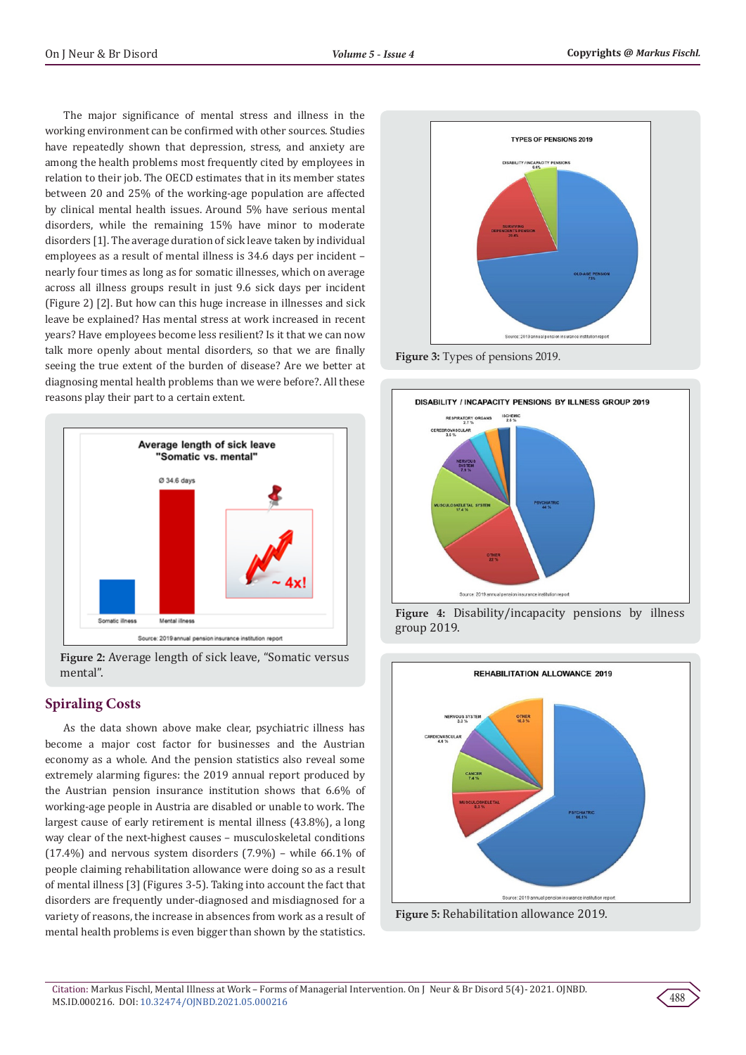The major significance of mental stress and illness in the working environment can be confirmed with other sources. Studies have repeatedly shown that depression, stress, and anxiety are among the health problems most frequently cited by employees in relation to their job. The OECD estimates that in its member states between 20 and 25% of the working-age population are affected by clinical mental health issues. Around 5% have serious mental disorders, while the remaining 15% have minor to moderate disorders [1]. The average duration of sick leave taken by individual employees as a result of mental illness is 34.6 days per incident – nearly four times as long as for somatic illnesses, which on average across all illness groups result in just 9.6 sick days per incident (Figure 2) [2]. But how can this huge increase in illnesses and sick leave be explained? Has mental stress at work increased in recent years? Have employees become less resilient? Is it that we can now talk more openly about mental disorders, so that we are finally seeing the true extent of the burden of disease? Are we better at diagnosing mental health problems than we were before?. All these reasons play their part to a certain extent.



**Figure 2:** Average length of sick leave, "Somatic versus mental".

# **Spiraling Costs**

As the data shown above make clear, psychiatric illness has become a major cost factor for businesses and the Austrian economy as a whole. And the pension statistics also reveal some extremely alarming figures: the 2019 annual report produced by the Austrian pension insurance institution shows that 6.6% of working-age people in Austria are disabled or unable to work. The largest cause of early retirement is mental illness (43.8%), a long way clear of the next-highest causes – musculoskeletal conditions (17.4%) and nervous system disorders (7.9%) – while 66.1% of people claiming rehabilitation allowance were doing so as a result of mental illness [3] (Figures 3-5). Taking into account the fact that disorders are frequently under-diagnosed and misdiagnosed for a variety of reasons, the increase in absences from work as a result of mental health problems is even bigger than shown by the statistics.



**Figure 3:** Types of pensions 2019.



**Figure 4:** Disability/incapacity pensions by illness group 2019.



**Figure 5:** Rehabilitation allowance 2019.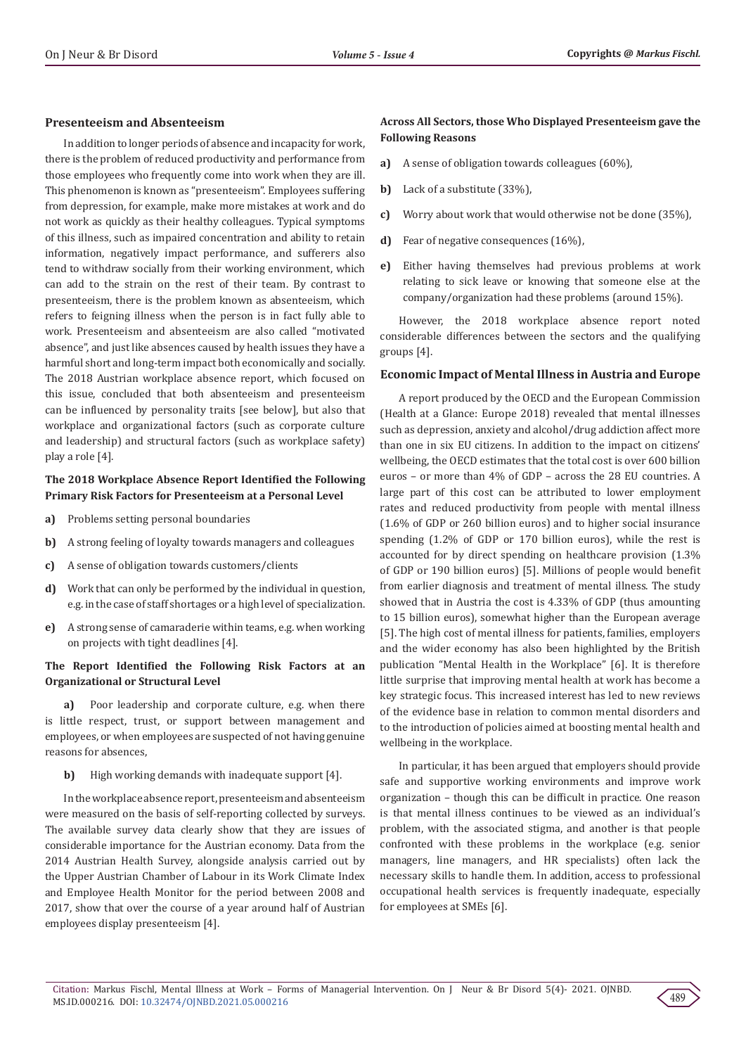#### **Presenteeism and Absenteeism**

In addition to longer periods of absence and incapacity for work, there is the problem of reduced productivity and performance from those employees who frequently come into work when they are ill. This phenomenon is known as "presenteeism". Employees suffering from depression, for example, make more mistakes at work and do not work as quickly as their healthy colleagues. Typical symptoms of this illness, such as impaired concentration and ability to retain information, negatively impact performance, and sufferers also tend to withdraw socially from their working environment, which can add to the strain on the rest of their team. By contrast to presenteeism, there is the problem known as absenteeism, which refers to feigning illness when the person is in fact fully able to work. Presenteeism and absenteeism are also called "motivated absence", and just like absences caused by health issues they have a harmful short and long-term impact both economically and socially. The 2018 Austrian workplace absence report, which focused on this issue, concluded that both absenteeism and presenteeism can be influenced by personality traits [see below], but also that workplace and organizational factors (such as corporate culture and leadership) and structural factors (such as workplace safety) play a role [4].

# **The 2018 Workplace Absence Report Identified the Following Primary Risk Factors for Presenteeism at a Personal Level**

- **a)** Problems setting personal boundaries
- **b)** A strong feeling of loyalty towards managers and colleagues
- **c)** A sense of obligation towards customers/clients
- **d)** Work that can only be performed by the individual in question, e.g. in the case of staff shortages or a high level of specialization.
- **e)** A strong sense of camaraderie within teams, e.g. when working on projects with tight deadlines [4].

# **The Report Identified the Following Risk Factors at an Organizational or Structural Level**

**a)** Poor leadership and corporate culture, e.g. when there is little respect, trust, or support between management and employees, or when employees are suspected of not having genuine reasons for absences,

#### **b)** High working demands with inadequate support [4].

In the workplace absence report, presenteeism and absenteeism were measured on the basis of self-reporting collected by surveys. The available survey data clearly show that they are issues of considerable importance for the Austrian economy. Data from the 2014 Austrian Health Survey, alongside analysis carried out by the Upper Austrian Chamber of Labour in its Work Climate Index and Employee Health Monitor for the period between 2008 and 2017, show that over the course of a year around half of Austrian employees display presenteeism [4].

# **Across All Sectors, those Who Displayed Presenteeism gave the Following Reasons**

- **a)** A sense of obligation towards colleagues (60%),
- **b)** Lack of a substitute (33%),
- **c)** Worry about work that would otherwise not be done (35%),
- **d)** Fear of negative consequences (16%),
- **e)** Either having themselves had previous problems at work relating to sick leave or knowing that someone else at the company/organization had these problems (around 15%).

However, the 2018 workplace absence report noted considerable differences between the sectors and the qualifying groups [4].

#### **Economic Impact of Mental Illness in Austria and Europe**

A report produced by the OECD and the European Commission (Health at a Glance: Europe 2018) revealed that mental illnesses such as depression, anxiety and alcohol/drug addiction affect more than one in six EU citizens. In addition to the impact on citizens' wellbeing, the OECD estimates that the total cost is over 600 billion euros – or more than 4% of GDP – across the 28 EU countries. A large part of this cost can be attributed to lower employment rates and reduced productivity from people with mental illness (1.6% of GDP or 260 billion euros) and to higher social insurance spending (1.2% of GDP or 170 billion euros), while the rest is accounted for by direct spending on healthcare provision (1.3% of GDP or 190 billion euros) [5]. Millions of people would benefit from earlier diagnosis and treatment of mental illness. The study showed that in Austria the cost is 4.33% of GDP (thus amounting to 15 billion euros), somewhat higher than the European average [5]. The high cost of mental illness for patients, families, employers and the wider economy has also been highlighted by the British publication "Mental Health in the Workplace" [6]. It is therefore little surprise that improving mental health at work has become a key strategic focus. This increased interest has led to new reviews of the evidence base in relation to common mental disorders and to the introduction of policies aimed at boosting mental health and wellbeing in the workplace.

In particular, it has been argued that employers should provide safe and supportive working environments and improve work organization – though this can be difficult in practice. One reason is that mental illness continues to be viewed as an individual's problem, with the associated stigma, and another is that people confronted with these problems in the workplace (e.g. senior managers, line managers, and HR specialists) often lack the necessary skills to handle them. In addition, access to professional occupational health services is frequently inadequate, especially for employees at SMEs [6].

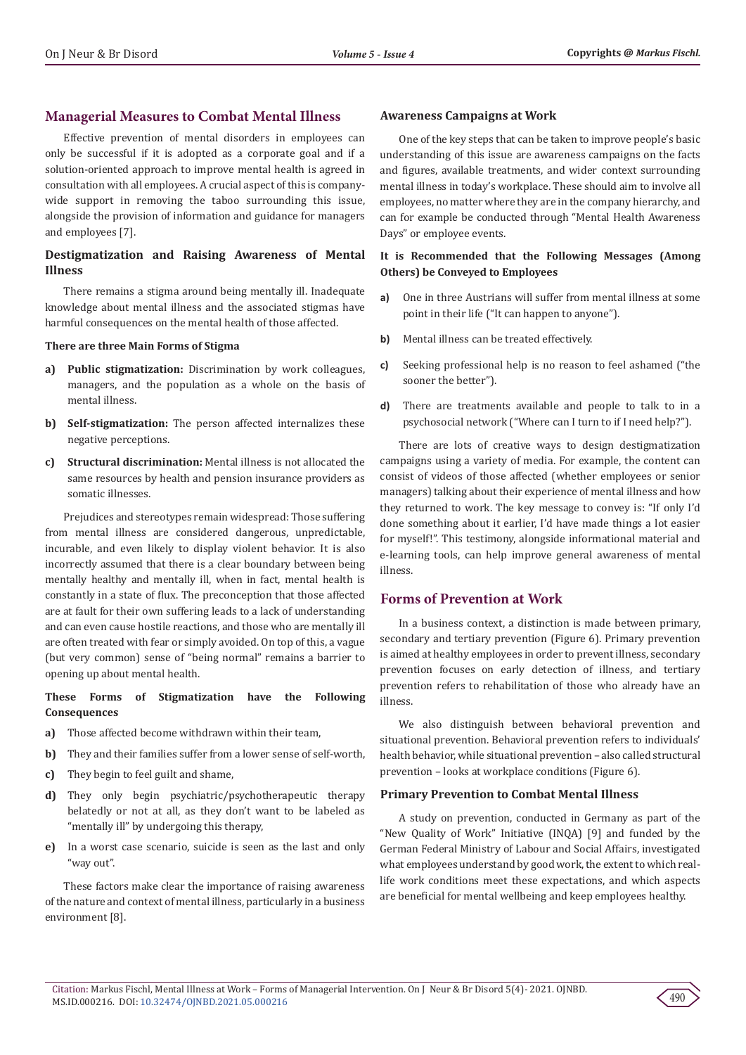# **Managerial Measures to Combat Mental Illness**

Effective prevention of mental disorders in employees can only be successful if it is adopted as a corporate goal and if a solution-oriented approach to improve mental health is agreed in consultation with all employees. A crucial aspect of this is companywide support in removing the taboo surrounding this issue, alongside the provision of information and guidance for managers and employees [7].

# **Destigmatization and Raising Awareness of Mental Illness**

There remains a stigma around being mentally ill. Inadequate knowledge about mental illness and the associated stigmas have harmful consequences on the mental health of those affected.

#### **There are three Main Forms of Stigma**

- **a) Public stigmatization:** Discrimination by work colleagues, managers, and the population as a whole on the basis of mental illness.
- **b) Self-stigmatization:** The person affected internalizes these negative perceptions.
- **c) Structural discrimination:** Mental illness is not allocated the same resources by health and pension insurance providers as somatic illnesses.

Prejudices and stereotypes remain widespread: Those suffering from mental illness are considered dangerous, unpredictable, incurable, and even likely to display violent behavior. It is also incorrectly assumed that there is a clear boundary between being mentally healthy and mentally ill, when in fact, mental health is constantly in a state of flux. The preconception that those affected are at fault for their own suffering leads to a lack of understanding and can even cause hostile reactions, and those who are mentally ill are often treated with fear or simply avoided. On top of this, a vague (but very common) sense of "being normal" remains a barrier to opening up about mental health.

# **These Forms of Stigmatization have the Following Consequences**

- **a)** Those affected become withdrawn within their team,
- **b)** They and their families suffer from a lower sense of self-worth,
- **c)** They begin to feel guilt and shame,
- **d)** They only begin psychiatric/psychotherapeutic therapy belatedly or not at all, as they don't want to be labeled as "mentally ill" by undergoing this therapy,
- **e)** In a worst case scenario, suicide is seen as the last and only "way out".

These factors make clear the importance of raising awareness of the nature and context of mental illness, particularly in a business environment [8].

#### **Awareness Campaigns at Work**

One of the key steps that can be taken to improve people's basic understanding of this issue are awareness campaigns on the facts and figures, available treatments, and wider context surrounding mental illness in today's workplace. These should aim to involve all employees, no matter where they are in the company hierarchy, and can for example be conducted through "Mental Health Awareness Days" or employee events.

# **It is Recommended that the Following Messages (Among Others) be Conveyed to Employees**

- **a)** One in three Austrians will suffer from mental illness at some point in their life ("It can happen to anyone").
- **b)** Mental illness can be treated effectively.
- **c)** Seeking professional help is no reason to feel ashamed ("the sooner the better").
- **d)** There are treatments available and people to talk to in a psychosocial network ("Where can I turn to if I need help?").

There are lots of creative ways to design destigmatization campaigns using a variety of media. For example, the content can consist of videos of those affected (whether employees or senior managers) talking about their experience of mental illness and how they returned to work. The key message to convey is: "If only I'd done something about it earlier, I'd have made things a lot easier for myself!". This testimony, alongside informational material and e-learning tools, can help improve general awareness of mental illness.

# **Forms of Prevention at Work**

In a business context, a distinction is made between primary, secondary and tertiary prevention (Figure 6). Primary prevention is aimed at healthy employees in order to prevent illness, secondary prevention focuses on early detection of illness, and tertiary prevention refers to rehabilitation of those who already have an illness.

We also distinguish between behavioral prevention and situational prevention. Behavioral prevention refers to individuals' health behavior, while situational prevention – also called structural prevention – looks at workplace conditions (Figure 6).

### **Primary Prevention to Combat Mental Illness**

A study on prevention, conducted in Germany as part of the "New Quality of Work" Initiative (INQA) [9] and funded by the German Federal Ministry of Labour and Social Affairs, investigated what employees understand by good work, the extent to which reallife work conditions meet these expectations, and which aspects are beneficial for mental wellbeing and keep employees healthy.

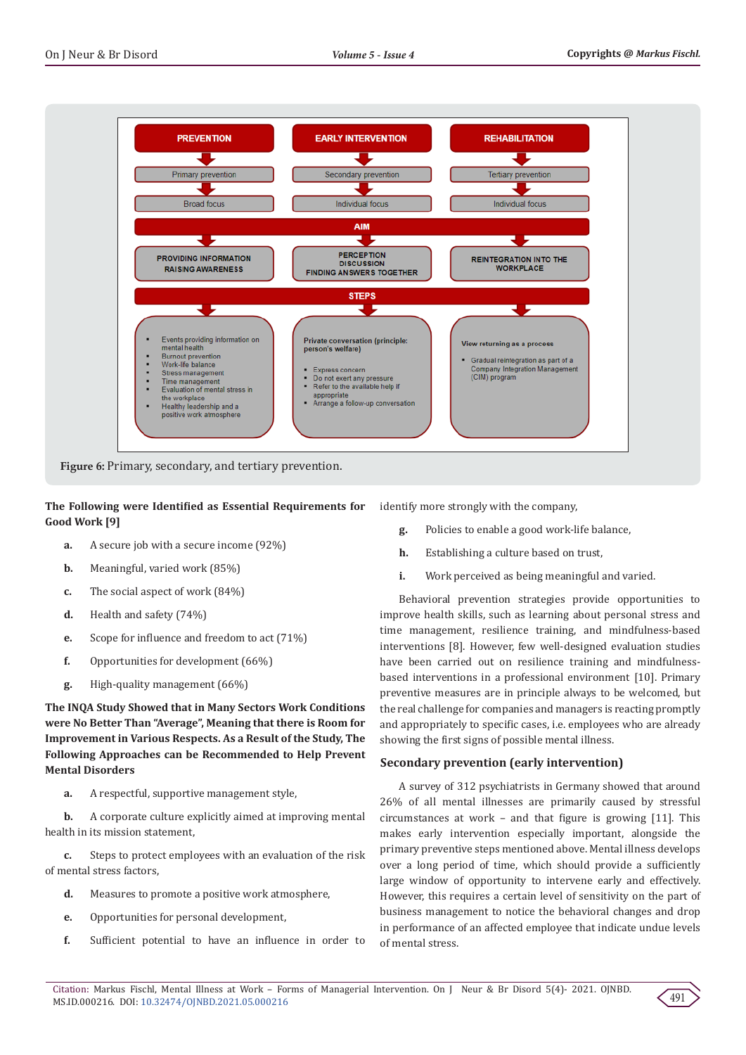

**Figure 6:** Primary, secondary, and tertiary prevention.

**The Following were Identified as Essential Requirements for Good Work [9]**

- **a.** A secure job with a secure income (92%)
- **b.** Meaningful, varied work (85%)
- **c.** The social aspect of work (84%)
- **d.** Health and safety (74%)
- **e.** Scope for influence and freedom to act (71%)
- **f.** Opportunities for development (66%)
- **g.** High-quality management (66%)

**The INQA Study Showed that in Many Sectors Work Conditions were No Better Than "Average", Meaning that there is Room for Improvement in Various Respects. As a Result of the Study, The Following Approaches can be Recommended to Help Prevent Mental Disorders**

**a.** A respectful, supportive management style,

**b.** A corporate culture explicitly aimed at improving mental health in its mission statement,

**c.** Steps to protect employees with an evaluation of the risk of mental stress factors,

- **d.** Measures to promote a positive work atmosphere,
- **e.** Opportunities for personal development,
- **f.** Sufficient potential to have an influence in order to

identify more strongly with the company,

- **g.** Policies to enable a good work-life balance,
- **h.** Establishing a culture based on trust,
- **i.** Work perceived as being meaningful and varied.

Behavioral prevention strategies provide opportunities to improve health skills, such as learning about personal stress and time management, resilience training, and mindfulness-based interventions [8]. However, few well-designed evaluation studies have been carried out on resilience training and mindfulnessbased interventions in a professional environment [10]. Primary preventive measures are in principle always to be welcomed, but the real challenge for companies and managers is reacting promptly and appropriately to specific cases, i.e. employees who are already showing the first signs of possible mental illness.

### **Secondary prevention (early intervention)**

A survey of 312 psychiatrists in Germany showed that around 26% of all mental illnesses are primarily caused by stressful circumstances at work – and that figure is growing [11]. This makes early intervention especially important, alongside the primary preventive steps mentioned above. Mental illness develops over a long period of time, which should provide a sufficiently large window of opportunity to intervene early and effectively. However, this requires a certain level of sensitivity on the part of business management to notice the behavioral changes and drop in performance of an affected employee that indicate undue levels of mental stress.

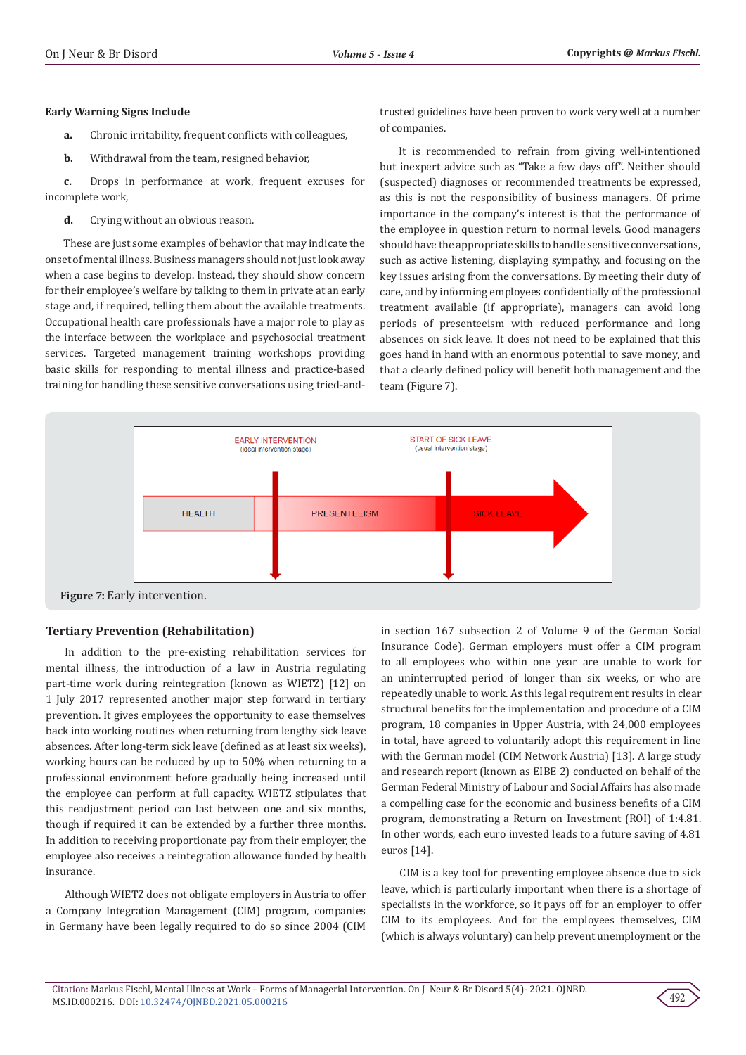#### **Early Warning Signs Include**

- **a.** Chronic irritability, frequent conflicts with colleagues,
- **b.** Withdrawal from the team, resigned behavior,

**c.** Drops in performance at work, frequent excuses for incomplete work,

**d.** Crying without an obvious reason.

These are just some examples of behavior that may indicate the onset of mental illness. Business managers should not just look away when a case begins to develop. Instead, they should show concern for their employee's welfare by talking to them in private at an early stage and, if required, telling them about the available treatments. Occupational health care professionals have a major role to play as the interface between the workplace and psychosocial treatment services. Targeted management training workshops providing basic skills for responding to mental illness and practice-based training for handling these sensitive conversations using tried-andtrusted guidelines have been proven to work very well at a number of companies.

It is recommended to refrain from giving well-intentioned but inexpert advice such as "Take a few days off". Neither should (suspected) diagnoses or recommended treatments be expressed, as this is not the responsibility of business managers. Of prime importance in the company's interest is that the performance of the employee in question return to normal levels. Good managers should have the appropriate skills to handle sensitive conversations, such as active listening, displaying sympathy, and focusing on the key issues arising from the conversations. By meeting their duty of care, and by informing employees confidentially of the professional treatment available (if appropriate), managers can avoid long periods of presenteeism with reduced performance and long absences on sick leave. It does not need to be explained that this goes hand in hand with an enormous potential to save money, and that a clearly defined policy will benefit both management and the team (Figure 7).



# **Tertiary Prevention (Rehabilitation)**

In addition to the pre-existing rehabilitation services for mental illness, the introduction of a law in Austria regulating part-time work during reintegration (known as WIETZ) [12] on 1 July 2017 represented another major step forward in tertiary prevention. It gives employees the opportunity to ease themselves back into working routines when returning from lengthy sick leave absences. After long-term sick leave (defined as at least six weeks), working hours can be reduced by up to 50% when returning to a professional environment before gradually being increased until the employee can perform at full capacity. WIETZ stipulates that this readjustment period can last between one and six months, though if required it can be extended by a further three months. In addition to receiving proportionate pay from their employer, the employee also receives a reintegration allowance funded by health insurance.

Although WIETZ does not obligate employers in Austria to offer a Company Integration Management (CIM) program, companies in Germany have been legally required to do so since 2004 (CIM in section 167 subsection 2 of Volume 9 of the German Social Insurance Code). German employers must offer a CIM program to all employees who within one year are unable to work for an uninterrupted period of longer than six weeks, or who are repeatedly unable to work. As this legal requirement results in clear structural benefits for the implementation and procedure of a CIM program, 18 companies in Upper Austria, with 24,000 employees in total, have agreed to voluntarily adopt this requirement in line with the German model (CIM Network Austria) [13]. A large study and research report (known as EIBE 2) conducted on behalf of the German Federal Ministry of Labour and Social Affairs has also made a compelling case for the economic and business benefits of a CIM program, demonstrating a Return on Investment (ROI) of 1:4.81. In other words, each euro invested leads to a future saving of 4.81 euros [14].

CIM is a key tool for preventing employee absence due to sick leave, which is particularly important when there is a shortage of specialists in the workforce, so it pays off for an employer to offer CIM to its employees. And for the employees themselves, CIM (which is always voluntary) can help prevent unemployment or the

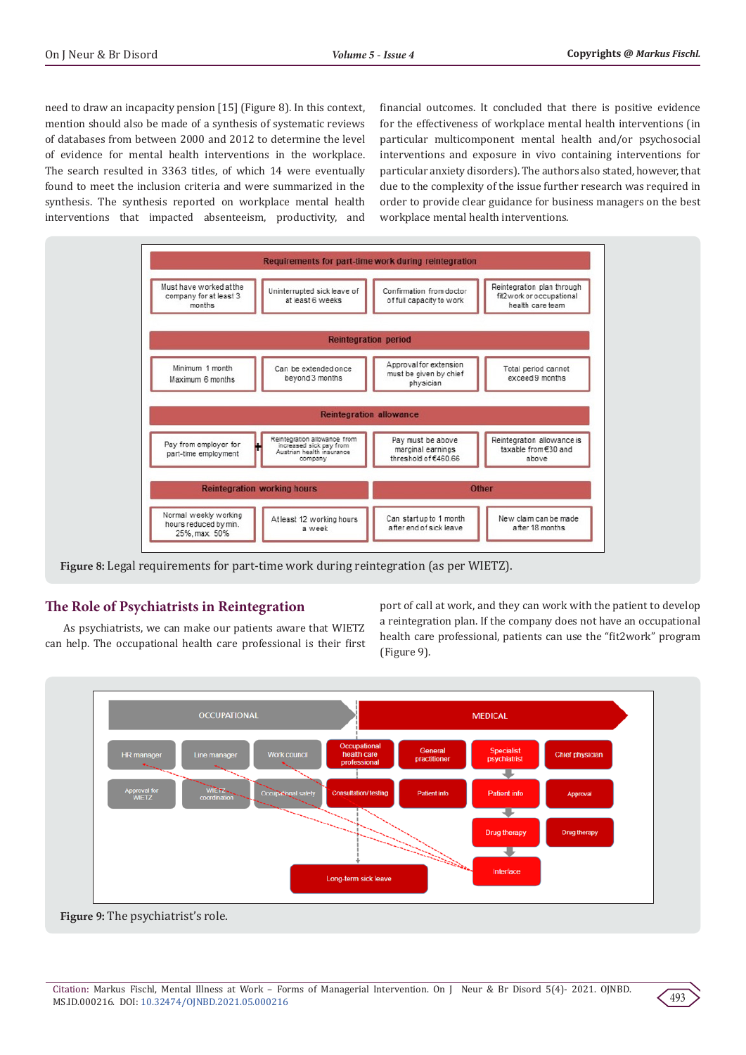need to draw an incapacity pension [15] (Figure 8). In this context, mention should also be made of a synthesis of systematic reviews of databases from between 2000 and 2012 to determine the level of evidence for mental health interventions in the workplace. The search resulted in 3363 titles, of which 14 were eventually found to meet the inclusion criteria and were summarized in the synthesis. The synthesis reported on workplace mental health interventions that impacted absenteeism, productivity, and

financial outcomes. It concluded that there is positive evidence for the effectiveness of workplace mental health interventions (in particular multicomponent mental health and/or psychosocial interventions and exposure in vivo containing interventions for particular anxiety disorders). The authors also stated, however, that due to the complexity of the issue further research was required in order to provide clear guidance for business managers on the best workplace mental health interventions.



# **The Role of Psychiatrists in Reintegration**

As psychiatrists, we can make our patients aware that WIETZ can help. The occupational health care professional is their first

port of call at work, and they can work with the patient to develop a reintegration plan. If the company does not have an occupational health care professional, patients can use the "fit2work" program (Figure 9).